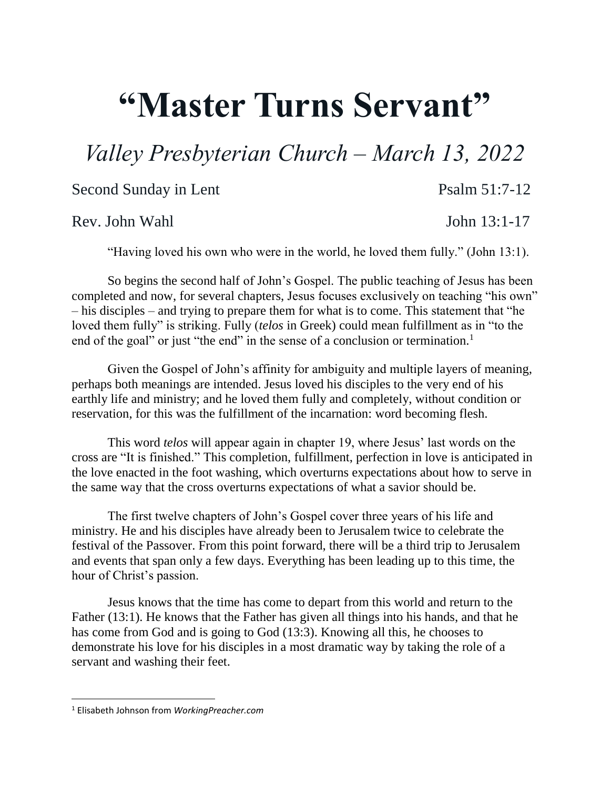## **"Master Turns Servant"**

## *Valley Presbyterian Church – March 13, 2022*

Second Sunday in Lent Psalm 51:7-12

Rev. John Wahl John 13:1-17

"Having loved his own who were in the world, he loved them fully." (John 13:1).

So begins the second half of John's Gospel. The public teaching of Jesus has been completed and now, for several chapters, Jesus focuses exclusively on teaching "his own" – his disciples – and trying to prepare them for what is to come. This statement that "he loved them fully" is striking. Fully (*telos* in Greek) could mean fulfillment as in "to the end of the goal" or just "the end" in the sense of a conclusion or termination.<sup>1</sup>

Given the Gospel of John's affinity for ambiguity and multiple layers of meaning, perhaps both meanings are intended. Jesus loved his disciples to the very end of his earthly life and ministry; and he loved them fully and completely, without condition or reservation, for this was the fulfillment of the incarnation: word becoming flesh.

This word *telos* will appear again in chapter 19, where Jesus' last words on the cross are "It is finished." This completion, fulfillment, perfection in love is anticipated in the love enacted in the foot washing, which overturns expectations about how to serve in the same way that the cross overturns expectations of what a savior should be.

The first twelve chapters of John's Gospel cover three years of his life and ministry. He and his disciples have already been to Jerusalem twice to celebrate the festival of the Passover. From this point forward, there will be a third trip to Jerusalem and events that span only a few days. Everything has been leading up to this time, the hour of Christ's passion.

Jesus knows that the time has come to depart from this world and return to the Father (13:1). He knows that the Father has given all things into his hands, and that he has come from God and is going to God (13:3). Knowing all this, he chooses to demonstrate his love for his disciples in a most dramatic way by taking the role of a servant and washing their feet.

 $\overline{\phantom{a}}$ 

<sup>1</sup> Elisabeth Johnson from *WorkingPreacher.com*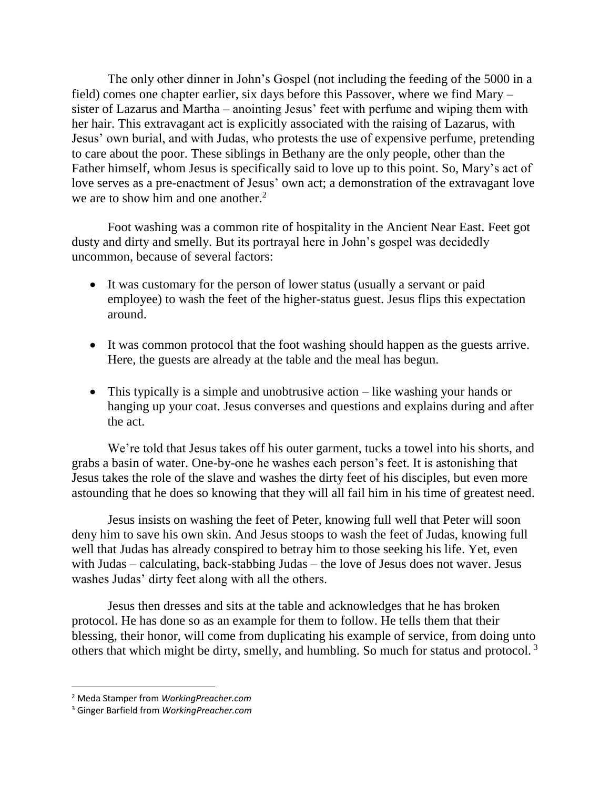The only other dinner in John's Gospel (not including the feeding of the 5000 in a field) comes one chapter earlier, six days before this Passover, where we find Mary – sister of Lazarus and Martha – anointing Jesus' feet with perfume and wiping them with her hair. This extravagant act is explicitly associated with the raising of Lazarus, with Jesus' own burial, and with Judas, who protests the use of expensive perfume, pretending to care about the poor. These siblings in Bethany are the only people, other than the Father himself, whom Jesus is specifically said to love up to this point. So, Mary's act of love serves as a pre-enactment of Jesus' own act; a demonstration of the extravagant love we are to show him and one another.<sup>2</sup>

Foot washing was a common rite of hospitality in the Ancient Near East. Feet got dusty and dirty and smelly. But its portrayal here in John's gospel was decidedly uncommon, because of several factors:

- It was customary for the person of lower status (usually a servant or paid employee) to wash the feet of the higher-status guest. Jesus flips this expectation around.
- It was common protocol that the foot washing should happen as the guests arrive. Here, the guests are already at the table and the meal has begun.
- This typically is a simple and unobtrusive action like washing your hands or hanging up your coat. Jesus converses and questions and explains during and after the act.

We're told that Jesus takes off his outer garment, tucks a towel into his shorts, and grabs a basin of water. One-by-one he washes each person's feet. It is astonishing that Jesus takes the role of the slave and washes the dirty feet of his disciples, but even more astounding that he does so knowing that they will all fail him in his time of greatest need.

Jesus insists on washing the feet of Peter, knowing full well that Peter will soon deny him to save his own skin. And Jesus stoops to wash the feet of Judas, knowing full well that Judas has already conspired to betray him to those seeking his life. Yet, even with Judas – calculating, back-stabbing Judas – the love of Jesus does not waver. Jesus washes Judas' dirty feet along with all the others.

Jesus then dresses and sits at the table and acknowledges that he has broken protocol. He has done so as an example for them to follow. He tells them that their blessing, their honor, will come from duplicating his example of service, from doing unto others that which might be dirty, smelly, and humbling. So much for status and protocol. <sup>3</sup>

l

<sup>2</sup> Meda Stamper from *WorkingPreacher.com*

<sup>3</sup> Ginger Barfield from *WorkingPreacher.com*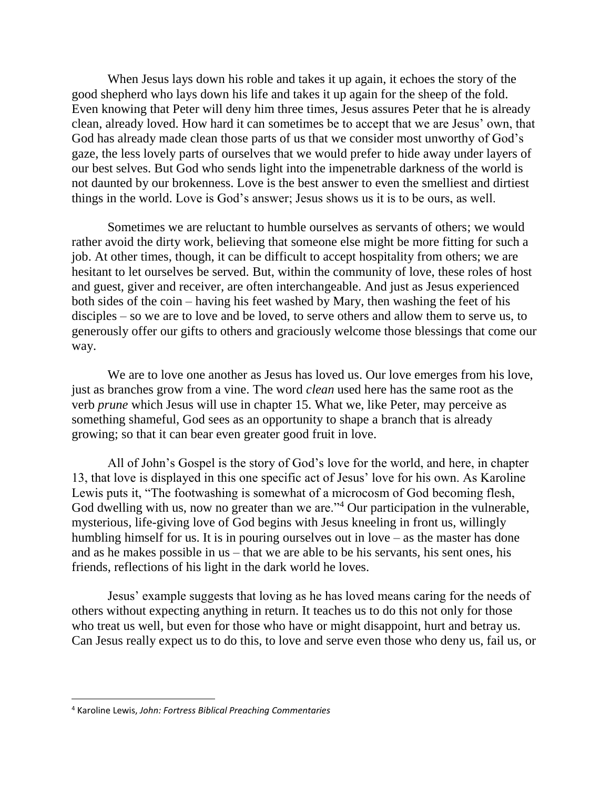When Jesus lays down his roble and takes it up again, it echoes the story of the good shepherd who lays down his life and takes it up again for the sheep of the fold. Even knowing that Peter will deny him three times, Jesus assures Peter that he is already clean, already loved. How hard it can sometimes be to accept that we are Jesus' own, that God has already made clean those parts of us that we consider most unworthy of God's gaze, the less lovely parts of ourselves that we would prefer to hide away under layers of our best selves. But God who sends light into the impenetrable darkness of the world is not daunted by our brokenness. Love is the best answer to even the smelliest and dirtiest things in the world. Love is God's answer; Jesus shows us it is to be ours, as well.

Sometimes we are reluctant to humble ourselves as servants of others; we would rather avoid the dirty work, believing that someone else might be more fitting for such a job. At other times, though, it can be difficult to accept hospitality from others; we are hesitant to let ourselves be served. But, within the community of love, these roles of host and guest, giver and receiver, are often interchangeable. And just as Jesus experienced both sides of the coin – having his feet washed by Mary, then washing the feet of his disciples – so we are to love and be loved, to serve others and allow them to serve us, to generously offer our gifts to others and graciously welcome those blessings that come our way.

We are to love one another as Jesus has loved us. Our love emerges from his love, just as branches grow from a vine. The word *clean* used here has the same root as the verb *prune* which Jesus will use in chapter 15. What we, like Peter, may perceive as something shameful, God sees as an opportunity to shape a branch that is already growing; so that it can bear even greater good fruit in love.

All of John's Gospel is the story of God's love for the world, and here, in chapter 13, that love is displayed in this one specific act of Jesus' love for his own. As Karoline Lewis puts it, "The footwashing is somewhat of a microcosm of God becoming flesh, God dwelling with us, now no greater than we are."<sup>4</sup> Our participation in the vulnerable, mysterious, life-giving love of God begins with Jesus kneeling in front us, willingly humbling himself for us. It is in pouring ourselves out in love – as the master has done and as he makes possible in us – that we are able to be his servants, his sent ones, his friends, reflections of his light in the dark world he loves.

Jesus' example suggests that loving as he has loved means caring for the needs of others without expecting anything in return. It teaches us to do this not only for those who treat us well, but even for those who have or might disappoint, hurt and betray us. Can Jesus really expect us to do this, to love and serve even those who deny us, fail us, or

 $\overline{\phantom{a}}$ 

<sup>4</sup> Karoline Lewis, *John: Fortress Biblical Preaching Commentaries*